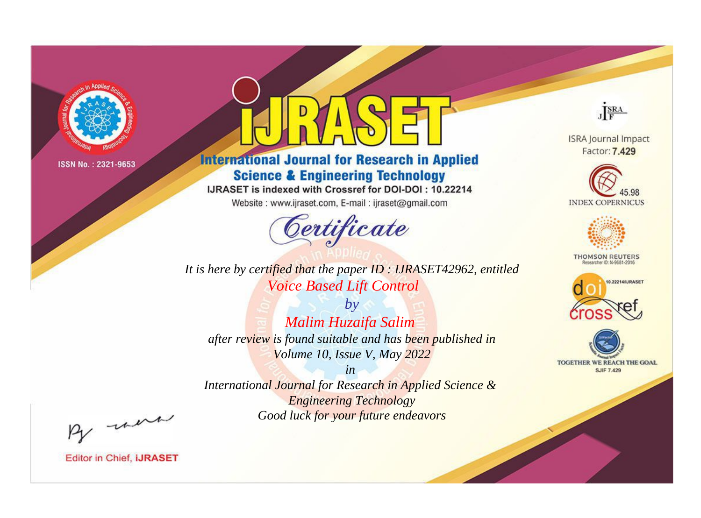

# **International Journal for Research in Applied Science & Engineering Technology**

IJRASET is indexed with Crossref for DOI-DOI: 10.22214

Website: www.ijraset.com, E-mail: ijraset@gmail.com



**ISRA Journal Impact** Factor: 7.429

JERA





**THOMSON REUTERS** 



TOGETHER WE REACH THE GOAL **SJIF 7.429** 

*It is here by certified that the paper ID : IJRASET42962, entitled Voice Based Lift Control*

*by Malim Huzaifa Salim after review is found suitable and has been published in Volume 10, Issue V, May 2022*

*in* 

*International Journal for Research in Applied Science & Engineering Technology Good luck for your future endeavors*

By morn

**Editor in Chief, IJRASET**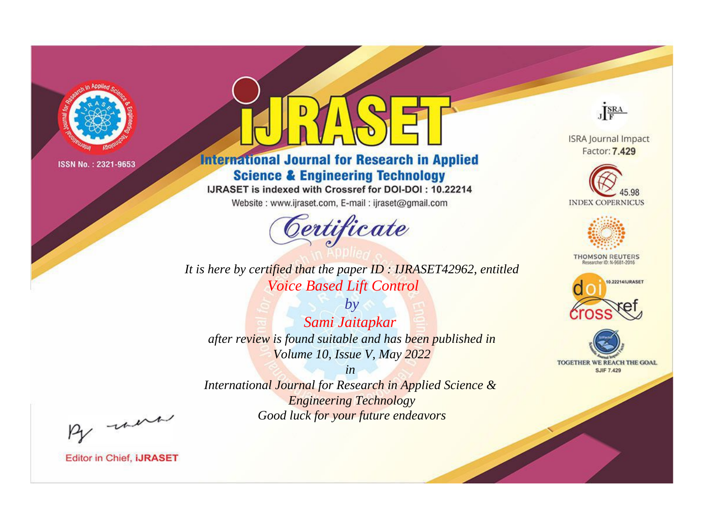

# **International Journal for Research in Applied Science & Engineering Technology**

IJRASET is indexed with Crossref for DOI-DOI: 10.22214

Website: www.ijraset.com, E-mail: ijraset@gmail.com



*It is here by certified that the paper ID : IJRASET42962, entitled Voice Based Lift Control*

*by Sami Jaitapkar after review is found suitable and has been published in Volume 10, Issue V, May 2022*

*in International Journal for Research in Applied Science & Engineering Technology Good luck for your future endeavors*



**ISRA Journal Impact** Factor: 7.429





**THOMSON REUTERS** 





By morn

**Editor in Chief, IJRASET**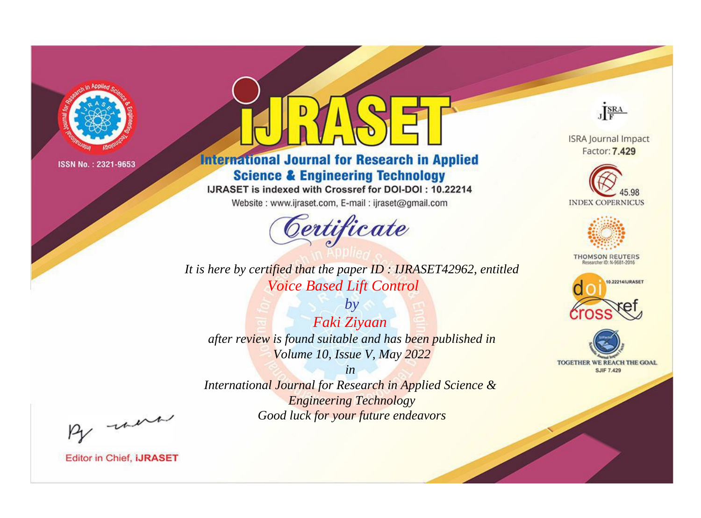

# **International Journal for Research in Applied Science & Engineering Technology**

IJRASET is indexed with Crossref for DOI-DOI: 10.22214

Website: www.ijraset.com, E-mail: ijraset@gmail.com



*It is here by certified that the paper ID : IJRASET42962, entitled Voice Based Lift Control*

*by Faki Ziyaan after review is found suitable and has been published in Volume 10, Issue V, May 2022*

*in International Journal for Research in Applied Science & Engineering Technology Good luck for your future endeavors*



**Editor in Chief, IJRASET** 

**ISRA Journal Impact** Factor: 7.429

JERA





**THOMSON REUTERS** 



TOGETHER WE REACH THE GOAL **SJIF 7.429**